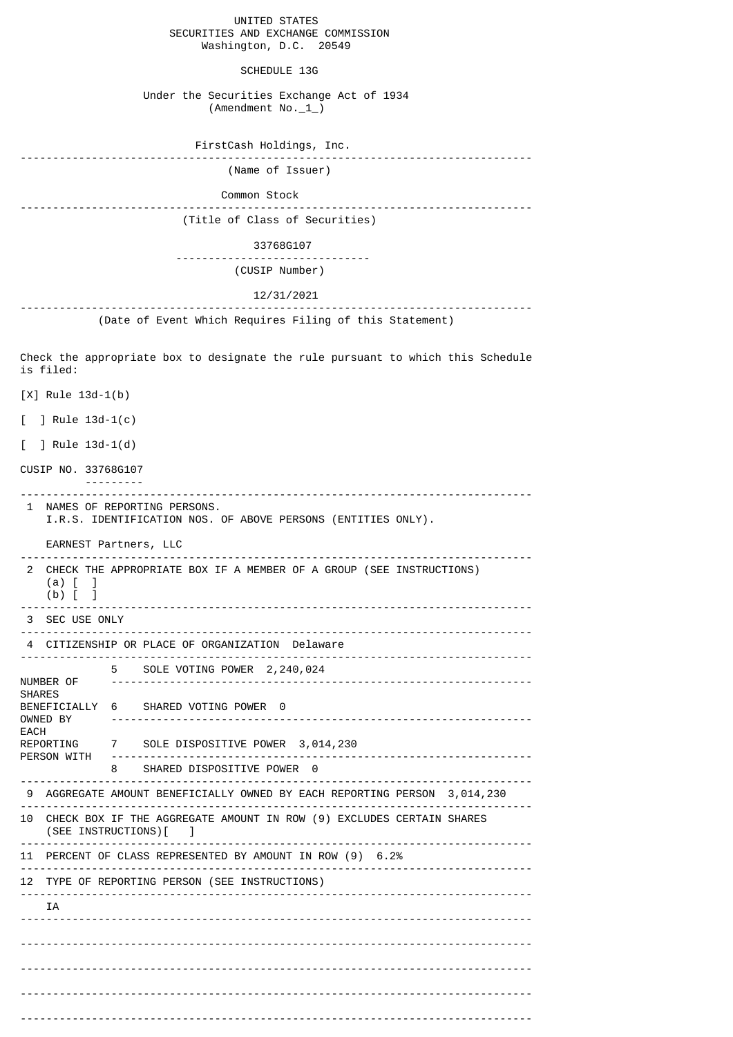UNITED STATES SECURITIES AND EXCHANGE COMMISSION Washington, D.C. 20549 SCHEDULE 13G Under the Securities Exchange Act of 1934 (Amendment No.\_1\_) FirstCash Holdings, Inc. ------------------------------------------------------------------------------- (Name of Issuer) Common Stock ------------------------------------------------------------------------------- (Title of Class of Securities) 33768G107 ------------------------------ (CUSIP Number) 12/31/2021 ------------------------------------------------------------------------------- (Date of Event Which Requires Filing of this Statement) Check the appropriate box to designate the rule pursuant to which this Schedule is filed: [X] Rule 13d-1(b) [ ] Rule 13d-1(c) [ ] Rule 13d-1(d) CUSIP NO. 33768G107 --------- ------------------------------------------------------------------------------- 1 NAMES OF REPORTING PERSONS. I.R.S. IDENTIFICATION NOS. OF ABOVE PERSONS (ENTITIES ONLY). EARNEST Partners, LLC ------------------------------------------------------------------------------- 2 CHECK THE APPROPRIATE BOX IF A MEMBER OF A GROUP (SEE INSTRUCTIONS) (a) [ ] (b) [ ] ------------------------------------------------------------------------------- 3 SEC USE ONLY ------------------------------------------------------------------------------- 4 CITIZENSHIP OR PLACE OF ORGANIZATION Delaware ------------------------------------------------------------------------------- 5 SOLE VOTING POWER 2, 240, 024<br>NUMBER OF --------------------------------NUMBER OF ----------------------------------------------------------------- SHARES<br>BENEFICIALLY 6 BENEFICIALLY 6 SHARED VOTING POWER 0<br>OWNED BY ---------------------------OWNED BY ----------------------------------------------------------------- EACH<br>REPORTING 7 SOLE DISPOSITIVE POWER 3,014,230 PERSON WITH ----------------------------------------------------------------- 8 SHARED DISPOSITIVE POWER 0 ------------------------------------------------------------------------------- 9 AGGREGATE AMOUNT BENEFICIALLY OWNED BY EACH REPORTING PERSON 3,014,230 ------------------------------------------------------------------------------- 10 CHECK BOX IF THE AGGREGATE AMOUNT IN ROW (9) EXCLUDES CERTAIN SHARES (SEE INSTRUCTIONS)[ ] ------------------------------------------------------------------------------- 11 PERCENT OF CLASS REPRESENTED BY AMOUNT IN ROW (9) 6.2% ------------------------------------------------------------------------------- 12 TYPE OF REPORTING PERSON (SEE INSTRUCTIONS) ------------------------------------------------------------------------------- T A ------------------------------------------------------------------------------- ------------------------------------------------------------------------------- ------------------------------------------------------------------------------- -------------------------------------------------------------------------------

-------------------------------------------------------------------------------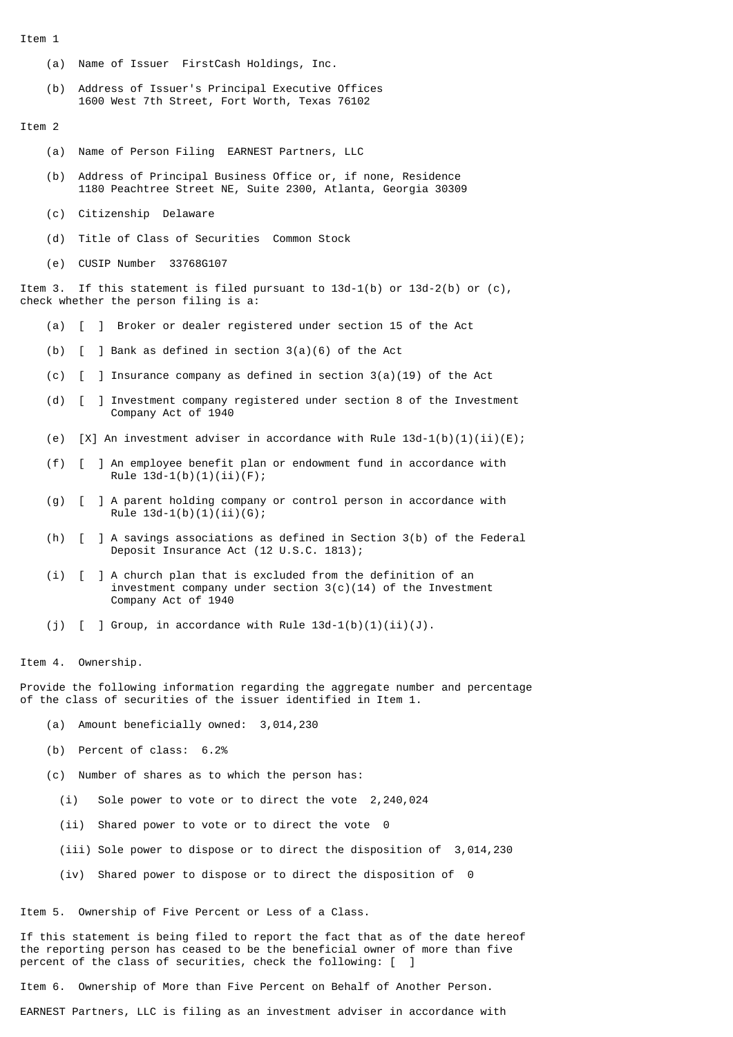Item 1

- (a) Name of Issuer FirstCash Holdings, Inc.
- (b) Address of Issuer's Principal Executive Offices 1600 West 7th Street, Fort Worth, Texas 76102

Item 2

- (a) Name of Person Filing EARNEST Partners, LLC
- (b) Address of Principal Business Office or, if none, Residence 1180 Peachtree Street NE, Suite 2300, Atlanta, Georgia 30309
- (c) Citizenship Delaware
- (d) Title of Class of Securities Common Stock
- (e) CUSIP Number 33768G107

Item 3. If this statement is filed pursuant to  $13d-1(b)$  or  $13d-2(b)$  or  $(c)$ , check whether the person filing is a:

- (a) [ ] Broker or dealer registered under section 15 of the Act
- (b) [ ] Bank as defined in section 3(a)(6) of the Act
- (c)  $\begin{bmatrix} 1 \end{bmatrix}$  Insurance company as defined in section 3(a)(19) of the Act
- (d) [ ] Investment company registered under section 8 of the Investment Company Act of 1940
- (e)  $[X]$  An investment adviser in accordance with Rule 13d-1(b)(1)(ii)(E);
- (f) [ ] An employee benefit plan or endowment fund in accordance with Rule  $13d-1(b)(1)(ii)(F);$
- (g) [ ] A parent holding company or control person in accordance with Rule  $13d-1(b)(1)(ii)(G);$
- (h) [ ] A savings associations as defined in Section 3(b) of the Federal Deposit Insurance Act (12 U.S.C. 1813);
- (i) [ ] A church plan that is excluded from the definition of an investment company under section 3(c)(14) of the Investment Company Act of 1940
- (j)  $\lceil$  ] Group, in accordance with Rule 13d-1(b)(1)(ii)(J).

Item 4. Ownership.

Provide the following information regarding the aggregate number and percentage of the class of securities of the issuer identified in Item 1.

- (a) Amount beneficially owned: 3,014,230
- (b) Percent of class: 6.2%
- (c) Number of shares as to which the person has:
	- (i) Sole power to vote or to direct the vote 2,240,024
	- (ii) Shared power to vote or to direct the vote 0
	- (iii) Sole power to dispose or to direct the disposition of 3,014,230
	- (iv) Shared power to dispose or to direct the disposition of 0

Item 5. Ownership of Five Percent or Less of a Class.

If this statement is being filed to report the fact that as of the date hereof the reporting person has ceased to be the beneficial owner of more than five percent of the class of securities, check the following: [

Item 6. Ownership of More than Five Percent on Behalf of Another Person.

EARNEST Partners, LLC is filing as an investment adviser in accordance with